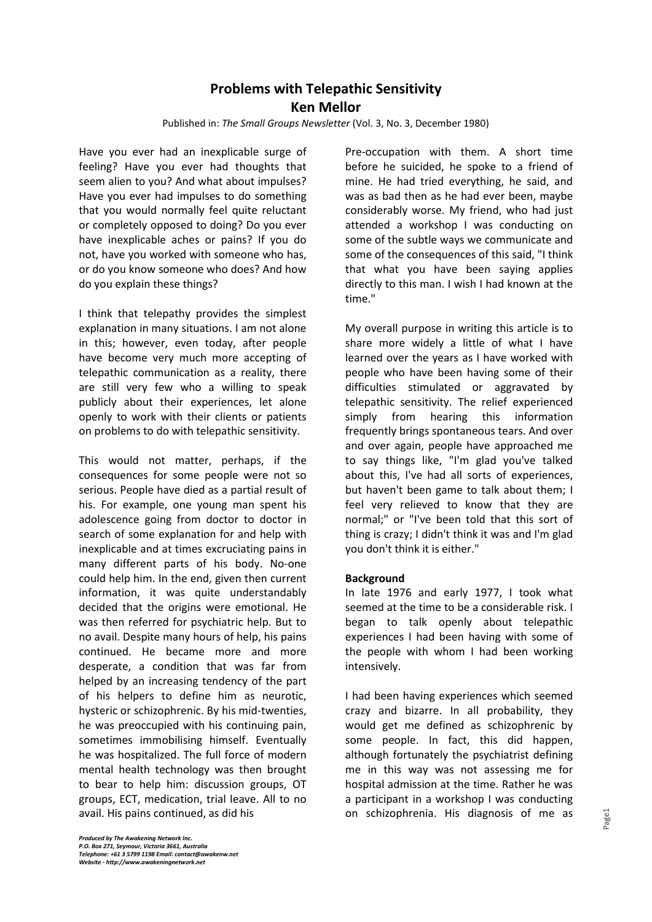# **Problems with Telepathic Sensitivity Ken Mellor**

Published in: *The Small Groups Newsletter* (Vol. 3, No. 3, December 1980)

Have you ever had an inexplicable surge of feeling? Have you ever had thoughts that seem alien to you? And what about impulses? Have you ever had impulses to do something that you would normally feel quite reluctant or completely opposed to doing? Do you ever have inexplicable aches or pains? If you do not, have you worked with someone who has, or do you know someone who does? And how do you explain these things?

I think that telepathy provides the simplest explanation in many situations. I am not alone in this; however, even today, after people have become very much more accepting of telepathic communication as a reality, there are still very few who a willing to speak publicly about their experiences, let alone openly to work with their clients or patients on problems to do with telepathic sensitivity.

This would not matter, perhaps, if the consequences for some people were not so serious. People have died as a partial result of his. For example, one young man spent his adolescence going from doctor to doctor in search of some explanation for and help with inexplicable and at times excruciating pains in many different parts of his body. No-one could help him. In the end, given then current information, it was quite understandably decided that the origins were emotional. He was then referred for psychiatric help. But to no avail. Despite many hours of help, his pains continued. He became more and more desperate, a condition that was far from helped by an increasing tendency of the part of his helpers to define him as neurotic, hysteric or schizophrenic. By his mid-twenties, he was preoccupied with his continuing pain, sometimes immobilising himself. Eventually he was hospitalized. The full force of modern mental health technology was then brought to bear to help him: discussion groups, OT groups, ECT, medication, trial leave. All to no avail. His pains continued, as did his

Pre-occupation with them. A short time before he suicided, he spoke to a friend of mine. He had tried everything, he said, and was as bad then as he had ever been, maybe considerably worse. My friend, who had just attended a workshop I was conducting on some of the subtle ways we communicate and some of the consequences of this said, "I think that what you have been saying applies directly to this man. I wish I had known at the time."

My overall purpose in writing this article is to share more widely a little of what I have learned over the years as I have worked with people who have been having some of their difficulties stimulated or aggravated by telepathic sensitivity. The relief experienced simply from hearing this information frequently brings spontaneous tears. And over and over again, people have approached me to say things like, "I'm glad you've talked about this, I've had all sorts of experiences, but haven't been game to talk about them; I feel very relieved to know that they are normal;" or "I've been told that this sort of thing is crazy; I didn't think it was and I'm glad you don't think it is either."

## **Background**

In late 1976 and early 1977, I took what seemed at the time to be a considerable risk. I began to talk openly about telepathic experiences I had been having with some of the people with whom I had been working intensively.

I had been having experiences which seemed crazy and bizarre. In all probability, they would get me defined as schizophrenic by some people. In fact, this did happen, although fortunately the psychiatrist defining me in this way was not assessing me for hospital admission at the time. Rather he was a participant in a workshop I was conducting on schizophrenia. His diagnosis of me as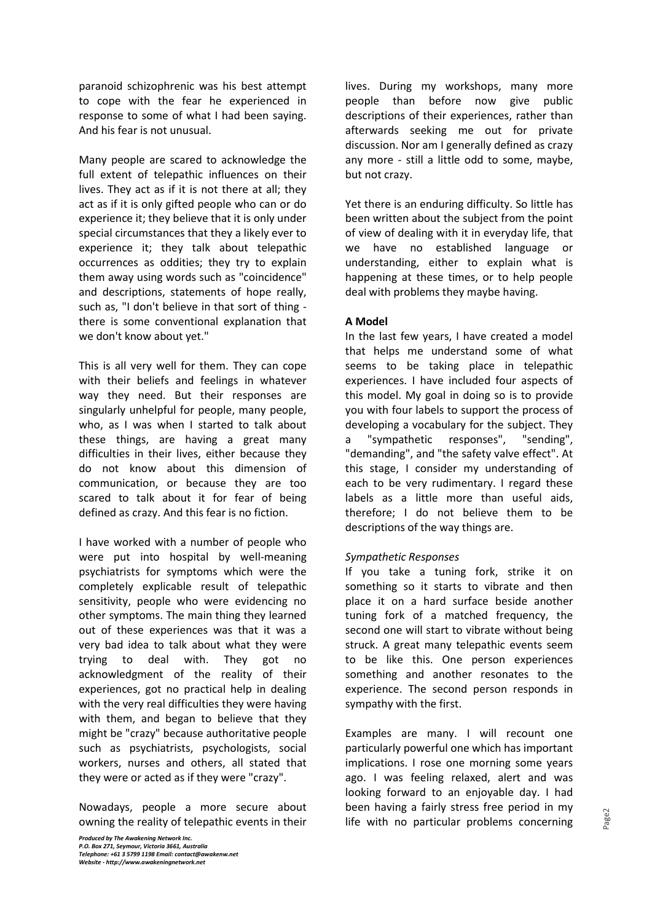paranoid schizophrenic was his best attempt to cope with the fear he experienced in response to some of what I had been saying. And his fear is not unusual.

Many people are scared to acknowledge the full extent of telepathic influences on their lives. They act as if it is not there at all; they act as if it is only gifted people who can or do experience it; they believe that it is only under special circumstances that they a likely ever to experience it; they talk about telepathic occurrences as oddities; they try to explain them away using words such as "coincidence" and descriptions, statements of hope really, such as, "I don't believe in that sort of thing there is some conventional explanation that we don't know about yet."

This is all very well for them. They can cope with their beliefs and feelings in whatever way they need. But their responses are singularly unhelpful for people, many people, who, as I was when I started to talk about these things, are having a great many difficulties in their lives, either because they do not know about this dimension of communication, or because they are too scared to talk about it for fear of being defined as crazy. And this fear is no fiction.

I have worked with a number of people who were put into hospital by well-meaning psychiatrists for symptoms which were the completely explicable result of telepathic sensitivity, people who were evidencing no other symptoms. The main thing they learned out of these experiences was that it was a very bad idea to talk about what they were trying to deal with. They got no acknowledgment of the reality of their experiences, got no practical help in dealing with the very real difficulties they were having with them, and began to believe that they might be "crazy" because authoritative people such as psychiatrists, psychologists, social workers, nurses and others, all stated that they were or acted as if they were "crazy".

Nowadays, people a more secure about owning the reality of telepathic events in their lives. During my workshops, many more people than before now give public descriptions of their experiences, rather than afterwards seeking me out for private discussion. Nor am I generally defined as crazy any more - still a little odd to some, maybe, but not crazy.

Yet there is an enduring difficulty. So little has been written about the subject from the point of view of dealing with it in everyday life, that we have no established language or understanding, either to explain what is happening at these times, or to help people deal with problems they maybe having.

## **A Model**

In the last few years, I have created a model that helps me understand some of what seems to be taking place in telepathic experiences. I have included four aspects of this model. My goal in doing so is to provide you with four labels to support the process of developing a vocabulary for the subject. They a "sympathetic responses", "sending", "demanding", and "the safety valve effect". At this stage, I consider my understanding of each to be very rudimentary. I regard these labels as a little more than useful aids, therefore; I do not believe them to be descriptions of the way things are.

## *Sympathetic Responses*

If you take a tuning fork, strike it on something so it starts to vibrate and then place it on a hard surface beside another tuning fork of a matched frequency, the second one will start to vibrate without being struck. A great many telepathic events seem to be like this. One person experiences something and another resonates to the experience. The second person responds in sympathy with the first.

Examples are many. I will recount one particularly powerful one which has important implications. I rose one morning some years ago. I was feeling relaxed, alert and was looking forward to an enjoyable day. I had been having a fairly stress free period in my life with no particular problems concerning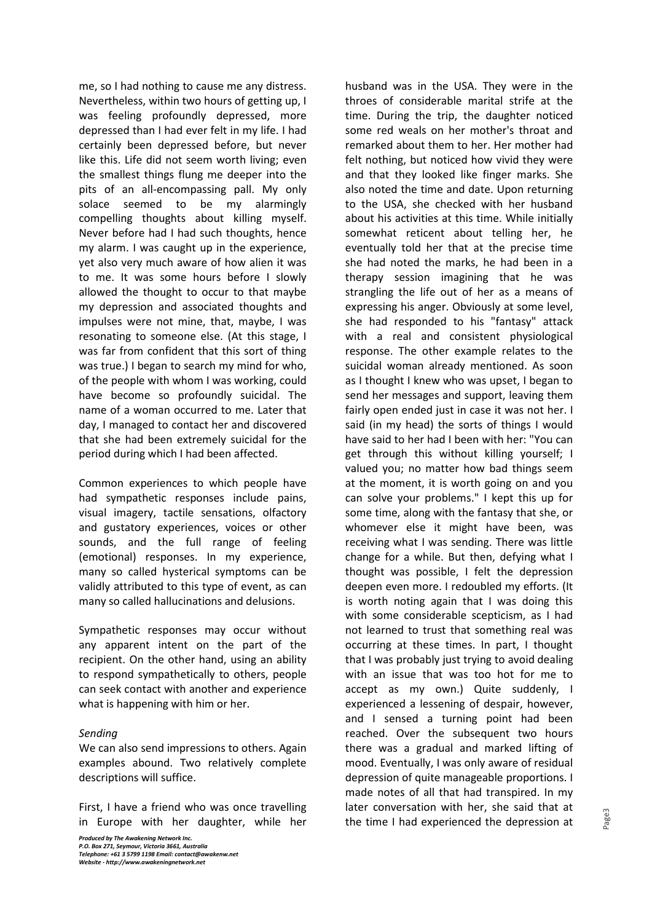me, so I had nothing to cause me any distress. Nevertheless, within two hours of getting up, I was feeling profoundly depressed, more depressed than I had ever felt in my life. I had certainly been depressed before, but never like this. Life did not seem worth living; even the smallest things flung me deeper into the pits of an all-encompassing pall. My only solace seemed to be my alarmingly compelling thoughts about killing myself. Never before had I had such thoughts, hence my alarm. I was caught up in the experience, yet also very much aware of how alien it was to me. It was some hours before I slowly allowed the thought to occur to that maybe my depression and associated thoughts and impulses were not mine, that, maybe, I was resonating to someone else. (At this stage, I was far from confident that this sort of thing was true.) I began to search my mind for who, of the people with whom I was working, could have become so profoundly suicidal. The name of a woman occurred to me. Later that day, I managed to contact her and discovered that she had been extremely suicidal for the period during which I had been affected.

Common experiences to which people have had sympathetic responses include pains, visual imagery, tactile sensations, olfactory and gustatory experiences, voices or other sounds, and the full range of feeling (emotional) responses. In my experience, many so called hysterical symptoms can be validly attributed to this type of event, as can many so called hallucinations and delusions.

Sympathetic responses may occur without any apparent intent on the part of the recipient. On the other hand, using an ability to respond sympathetically to others, people can seek contact with another and experience what is happening with him or her.

## *Sending*

We can also send impressions to others. Again examples abound. Two relatively complete descriptions will suffice.

First, I have a friend who was once travelling in Europe with her daughter, while her husband was in the USA. They were in the throes of considerable marital strife at the time. During the trip, the daughter noticed some red weals on her mother's throat and remarked about them to her. Her mother had felt nothing, but noticed how vivid they were and that they looked like finger marks. She also noted the time and date. Upon returning to the USA, she checked with her husband about his activities at this time. While initially somewhat reticent about telling her, he eventually told her that at the precise time she had noted the marks, he had been in a therapy session imagining that he was strangling the life out of her as a means of expressing his anger. Obviously at some level, she had responded to his "fantasy" attack with a real and consistent physiological response. The other example relates to the suicidal woman already mentioned. As soon as I thought I knew who was upset, I began to send her messages and support, leaving them fairly open ended just in case it was not her. I said (in my head) the sorts of things I would have said to her had I been with her: "You can get through this without killing yourself; I valued you; no matter how bad things seem at the moment, it is worth going on and you can solve your problems." I kept this up for some time, along with the fantasy that she, or whomever else it might have been, was receiving what I was sending. There was little change for a while. But then, defying what I thought was possible, I felt the depression deepen even more. I redoubled my efforts. (It is worth noting again that I was doing this with some considerable scepticism, as I had not learned to trust that something real was occurring at these times. In part, I thought that I was probably just trying to avoid dealing with an issue that was too hot for me to accept as my own.) Quite suddenly, I experienced a lessening of despair, however, and I sensed a turning point had been reached. Over the subsequent two hours there was a gradual and marked lifting of mood. Eventually, I was only aware of residual depression of quite manageable proportions. I made notes of all that had transpired. In my later conversation with her, she said that at the time I had experienced the depression at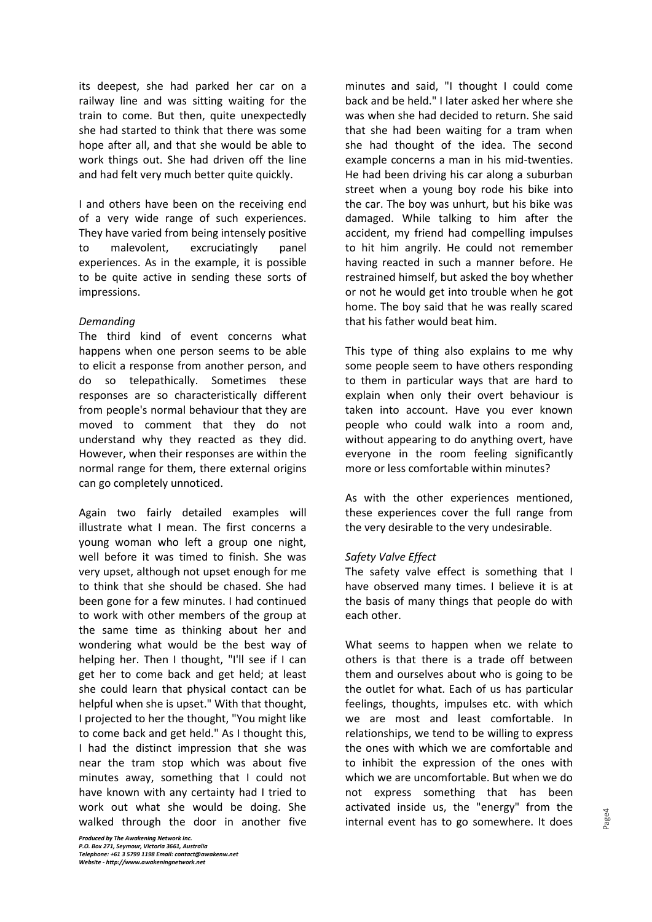its deepest, she had parked her car on a railway line and was sitting waiting for the train to come. But then, quite unexpectedly she had started to think that there was some hope after all, and that she would be able to work things out. She had driven off the line and had felt very much better quite quickly.

I and others have been on the receiving end of a very wide range of such experiences. They have varied from being intensely positive to malevolent, excruciatingly panel experiences. As in the example, it is possible to be quite active in sending these sorts of impressions.

#### *Demanding*

The third kind of event concerns what happens when one person seems to be able to elicit a response from another person, and do so telepathically. Sometimes these responses are so characteristically different from people's normal behaviour that they are moved to comment that they do not understand why they reacted as they did. However, when their responses are within the normal range for them, there external origins can go completely unnoticed.

Again two fairly detailed examples will illustrate what I mean. The first concerns a young woman who left a group one night, well before it was timed to finish. She was very upset, although not upset enough for me to think that she should be chased. She had been gone for a few minutes. I had continued to work with other members of the group at the same time as thinking about her and wondering what would be the best way of helping her. Then I thought, "I'll see if I can get her to come back and get held; at least she could learn that physical contact can be helpful when she is upset." With that thought, I projected to her the thought, "You might like to come back and get held." As I thought this, I had the distinct impression that she was near the tram stop which was about five minutes away, something that I could not have known with any certainty had I tried to work out what she would be doing. She walked through the door in another five

minutes and said, "I thought I could come back and be held." I later asked her where she was when she had decided to return. She said that she had been waiting for a tram when she had thought of the idea. The second example concerns a man in his mid-twenties. He had been driving his car along a suburban street when a young boy rode his bike into the car. The boy was unhurt, but his bike was damaged. While talking to him after the accident, my friend had compelling impulses to hit him angrily. He could not remember having reacted in such a manner before. He restrained himself, but asked the boy whether or not he would get into trouble when he got home. The boy said that he was really scared that his father would beat him.

This type of thing also explains to me why some people seem to have others responding to them in particular ways that are hard to explain when only their overt behaviour is taken into account. Have you ever known people who could walk into a room and, without appearing to do anything overt, have everyone in the room feeling significantly more or less comfortable within minutes?

As with the other experiences mentioned, these experiences cover the full range from the very desirable to the very undesirable.

## *Safety Valve Effect*

The safety valve effect is something that I have observed many times. I believe it is at the basis of many things that people do with each other.

What seems to happen when we relate to others is that there is a trade off between them and ourselves about who is going to be the outlet for what. Each of us has particular feelings, thoughts, impulses etc. with which we are most and least comfortable. In relationships, we tend to be willing to express the ones with which we are comfortable and to inhibit the expression of the ones with which we are uncomfortable. But when we do not express something that has been activated inside us, the "energy" from the internal event has to go somewhere. It does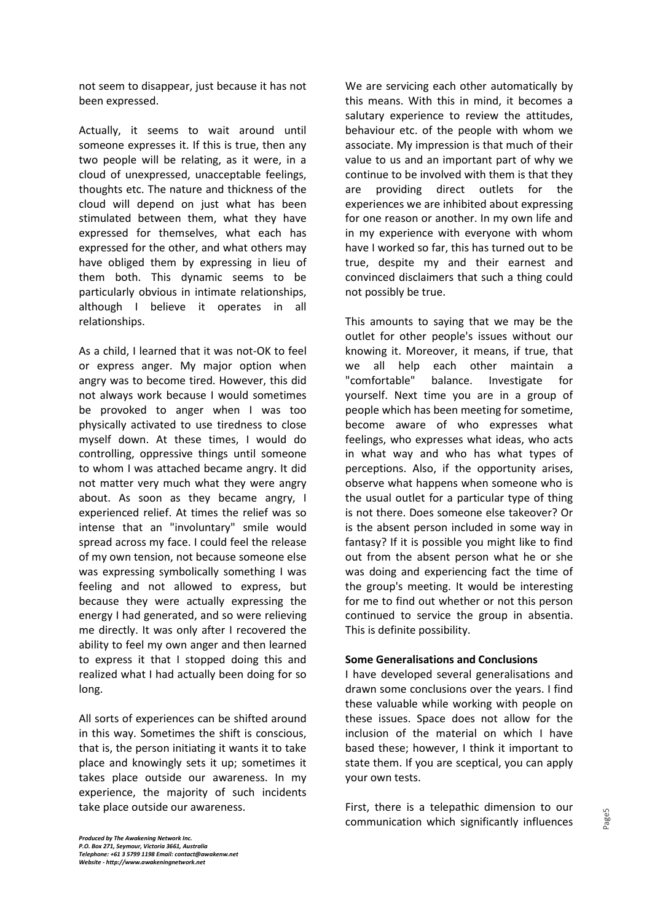not seem to disappear, just because it has not been expressed.

Actually, it seems to wait around until someone expresses it. If this is true, then any two people will be relating, as it were, in a cloud of unexpressed, unacceptable feelings, thoughts etc. The nature and thickness of the cloud will depend on just what has been stimulated between them, what they have expressed for themselves, what each has expressed for the other, and what others may have obliged them by expressing in lieu of them both. This dynamic seems to be particularly obvious in intimate relationships, although I believe it operates in all relationships.

As a child, I learned that it was not-OK to feel or express anger. My major option when angry was to become tired. However, this did not always work because I would sometimes be provoked to anger when I was too physically activated to use tiredness to close myself down. At these times, I would do controlling, oppressive things until someone to whom I was attached became angry. It did not matter very much what they were angry about. As soon as they became angry, I experienced relief. At times the relief was so intense that an "involuntary" smile would spread across my face. I could feel the release of my own tension, not because someone else was expressing symbolically something I was feeling and not allowed to express, but because they were actually expressing the energy I had generated, and so were relieving me directly. It was only after I recovered the ability to feel my own anger and then learned to express it that I stopped doing this and realized what I had actually been doing for so long.

All sorts of experiences can be shifted around in this way. Sometimes the shift is conscious, that is, the person initiating it wants it to take place and knowingly sets it up; sometimes it takes place outside our awareness. In my experience, the majority of such incidents take place outside our awareness.

We are servicing each other automatically by this means. With this in mind, it becomes a salutary experience to review the attitudes, behaviour etc. of the people with whom we associate. My impression is that much of their value to us and an important part of why we continue to be involved with them is that they are providing direct outlets for the experiences we are inhibited about expressing for one reason or another. In my own life and in my experience with everyone with whom have I worked so far, this has turned out to be true, despite my and their earnest and convinced disclaimers that such a thing could not possibly be true.

This amounts to saying that we may be the outlet for other people's issues without our knowing it. Moreover, it means, if true, that we all help each other maintain a "comfortable" balance. Investigate for yourself. Next time you are in a group of people which has been meeting for sometime, become aware of who expresses what feelings, who expresses what ideas, who acts in what way and who has what types of perceptions. Also, if the opportunity arises, observe what happens when someone who is the usual outlet for a particular type of thing is not there. Does someone else takeover? Or is the absent person included in some way in fantasy? If it is possible you might like to find out from the absent person what he or she was doing and experiencing fact the time of the group's meeting. It would be interesting for me to find out whether or not this person continued to service the group in absentia. This is definite possibility.

## **Some Generalisations and Conclusions**

I have developed several generalisations and drawn some conclusions over the years. I find these valuable while working with people on these issues. Space does not allow for the inclusion of the material on which I have based these; however, I think it important to state them. If you are sceptical, you can apply your own tests.

First, there is a telepathic dimension to our communication which significantly influences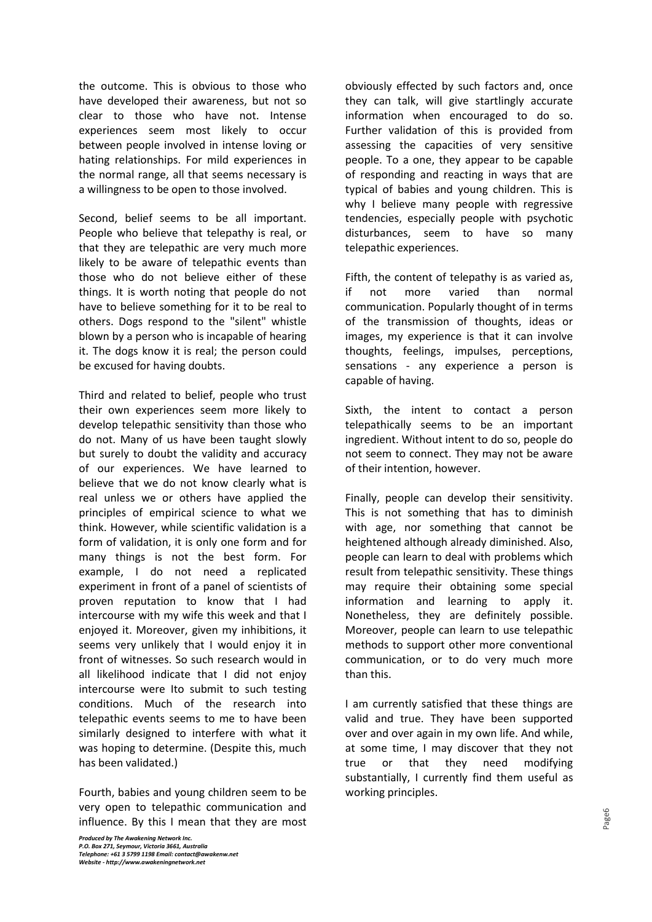the outcome. This is obvious to those who have developed their awareness, but not so clear to those who have not. Intense experiences seem most likely to occur between people involved in intense loving or hating relationships. For mild experiences in the normal range, all that seems necessary is a willingness to be open to those involved.

Second, belief seems to be all important. People who believe that telepathy is real, or that they are telepathic are very much more likely to be aware of telepathic events than those who do not believe either of these things. It is worth noting that people do not have to believe something for it to be real to others. Dogs respond to the "silent" whistle blown by a person who is incapable of hearing it. The dogs know it is real; the person could be excused for having doubts.

Third and related to belief, people who trust their own experiences seem more likely to develop telepathic sensitivity than those who do not. Many of us have been taught slowly but surely to doubt the validity and accuracy of our experiences. We have learned to believe that we do not know clearly what is real unless we or others have applied the principles of empirical science to what we think. However, while scientific validation is a form of validation, it is only one form and for many things is not the best form. For example, I do not need a replicated experiment in front of a panel of scientists of proven reputation to know that I had intercourse with my wife this week and that I enjoyed it. Moreover, given my inhibitions, it seems very unlikely that I would enjoy it in front of witnesses. So such research would in all likelihood indicate that I did not enjoy intercourse were Ito submit to such testing conditions. Much of the research into telepathic events seems to me to have been similarly designed to interfere with what it was hoping to determine. (Despite this, much has been validated.)

Fourth, babies and young children seem to be very open to telepathic communication and influence. By this I mean that they are most obviously effected by such factors and, once they can talk, will give startlingly accurate information when encouraged to do so. Further validation of this is provided from assessing the capacities of very sensitive people. To a one, they appear to be capable of responding and reacting in ways that are typical of babies and young children. This is why I believe many people with regressive tendencies, especially people with psychotic disturbances, seem to have so many telepathic experiences.

Fifth, the content of telepathy is as varied as, if not more varied than normal communication. Popularly thought of in terms of the transmission of thoughts, ideas or images, my experience is that it can involve thoughts, feelings, impulses, perceptions, sensations - any experience a person is capable of having.

Sixth, the intent to contact a person telepathically seems to be an important ingredient. Without intent to do so, people do not seem to connect. They may not be aware of their intention, however.

Finally, people can develop their sensitivity. This is not something that has to diminish with age, nor something that cannot be heightened although already diminished. Also, people can learn to deal with problems which result from telepathic sensitivity. These things may require their obtaining some special information and learning to apply it. Nonetheless, they are definitely possible. Moreover, people can learn to use telepathic methods to support other more conventional communication, or to do very much more than this.

I am currently satisfied that these things are valid and true. They have been supported over and over again in my own life. And while, at some time, I may discover that they not true or that they need modifying substantially, I currently find them useful as working principles.